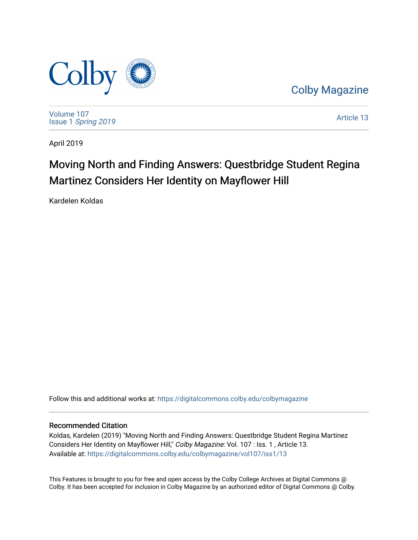

[Colby Magazine](https://digitalcommons.colby.edu/colbymagazine) 

[Volume 107](https://digitalcommons.colby.edu/colbymagazine/vol107) Issue 1 [Spring 2019](https://digitalcommons.colby.edu/colbymagazine/vol107/iss1) 

[Article 13](https://digitalcommons.colby.edu/colbymagazine/vol107/iss1/13) 

April 2019

### Moving North and Finding Answers: Questbridge Student Regina Martinez Considers Her Identity on Mayflower Hill

Kardelen Koldas

Follow this and additional works at: [https://digitalcommons.colby.edu/colbymagazine](https://digitalcommons.colby.edu/colbymagazine?utm_source=digitalcommons.colby.edu%2Fcolbymagazine%2Fvol107%2Fiss1%2F13&utm_medium=PDF&utm_campaign=PDFCoverPages)

#### Recommended Citation

Koldas, Kardelen (2019) "Moving North and Finding Answers: Questbridge Student Regina Martinez Considers Her Identity on Mayflower Hill," Colby Magazine: Vol. 107 : Iss. 1, Article 13. Available at: [https://digitalcommons.colby.edu/colbymagazine/vol107/iss1/13](https://digitalcommons.colby.edu/colbymagazine/vol107/iss1/13?utm_source=digitalcommons.colby.edu%2Fcolbymagazine%2Fvol107%2Fiss1%2F13&utm_medium=PDF&utm_campaign=PDFCoverPages)

This Features is brought to you for free and open access by the Colby College Archives at Digital Commons @ Colby. It has been accepted for inclusion in Colby Magazine by an authorized editor of Digital Commons @ Colby.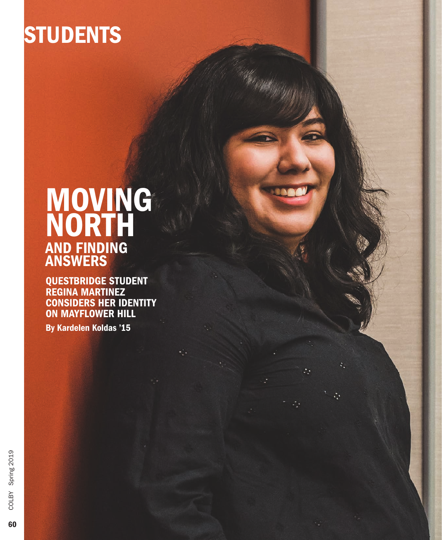# **STUDENTS**

## MOVING NORTH AND FINDING ANSWERS

QUESTBRIDGE STUDENT REGINA MARTINEZ CONSIDERS HER IDENTITY ON MAYFLOWER HILL

By Kardelen Koldas '15